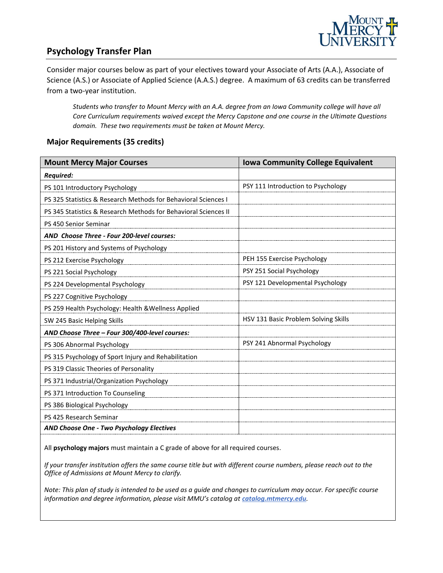

## **Psychology Transfer Plan**

Consider major courses below as part of your electives toward your Associate of Arts (A.A.), Associate of Science (A.S.) or Associate of Applied Science (A.A.S.) degree. A maximum of 63 credits can be transferred from a two-year institution.

*Students who transfer to Mount Mercy with an A.A. degree from an Iowa Community college will have all Core Curriculum requirements waived except the Mercy Capstone and one course in the Ultimate Questions domain. These two requirements must be taken at Mount Mercy.* 

#### **Major Requirements (35 credits)**

| <b>Mount Mercy Major Courses</b>                                | <b>Iowa Community College Equivalent</b> |
|-----------------------------------------------------------------|------------------------------------------|
| <b>Required:</b>                                                |                                          |
| PS 101 Introductory Psychology                                  | PSY 111 Introduction to Psychology       |
| PS 325 Statistics & Research Methods for Behavioral Sciences I  |                                          |
| PS 345 Statistics & Research Methods for Behavioral Sciences II |                                          |
| PS 450 Senior Seminar                                           |                                          |
| AND Choose Three - Four 200-level courses:                      |                                          |
| PS 201 History and Systems of Psychology                        |                                          |
| PS 212 Exercise Psychology                                      | PEH 155 Exercise Psychology              |
| PS 221 Social Psychology                                        | PSY 251 Social Psychology                |
| PS 224 Developmental Psychology                                 | PSY 121 Developmental Psychology         |
| PS 227 Cognitive Psychology                                     |                                          |
| PS 259 Health Psychology: Health & Wellness Applied             |                                          |
| SW 245 Basic Helping Skills                                     | HSV 131 Basic Problem Solving Skills     |
| AND Choose Three - Four 300/400-level courses:                  |                                          |
| PS 306 Abnormal Psychology                                      | PSY 241 Abnormal Psychology              |
| PS 315 Psychology of Sport Injury and Rehabilitation            |                                          |
| PS 319 Classic Theories of Personality                          |                                          |
| PS 371 Industrial/Organization Psychology                       |                                          |
| PS 371 Introduction To Counseling                               |                                          |
| PS 386 Biological Psychology                                    |                                          |
| PS 425 Research Seminar                                         |                                          |
| AND Choose One - Two Psychology Electives                       |                                          |

All **psychology majors** must maintain a C grade of above for all required courses.

*If your transfer institution offers the same course title but with different course numbers, please reach out to the Office of Admissions at Mount Mercy to clarify.*

*Note: This plan of study is intended to be used as a guide and changes to curriculum may occur. For specific course information and degree information, please visit MMU's catalog at catalog.mtmercy.edu.*